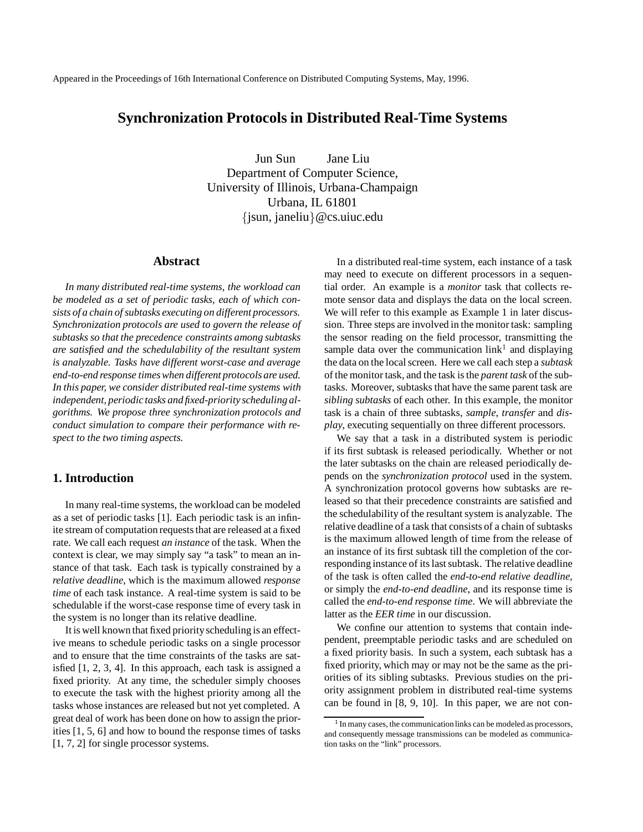Appeared in the Proceedings of 16th International Conference on Distributed Computing Systems, May, 1996.

# **Synchronization Protocols in Distributed Real-Time Systems**

Jun Sun Jane Liu Department of Computer Science, University of Illinois, Urbana-Champaign Urbana, IL 61801  $\{jsun, janeliu\}$  @cs.uiuc.edu

#### **Abstract**

*In many distributed real-time systems, the workload can be modeled as a set of periodic tasks, each of which consists of a chain of subtasks executing on different processors. Synchronization protocols are used to govern the release of subtasks so that the precedence constraints among subtasks are satisfied and the schedulability of the resultant system is analyzable. Tasks have different worst-case and average end-to-end response times when different protocols are used. In this paper, we consider distributed real-time systems with independent, periodic tasks and fixed-priority scheduling algorithms. We propose three synchronization protocols and conduct simulation to compare their performance with respect to the two timing aspects.*

#### **1. Introduction**

In many real-time systems, the workload can be modeled as a set of periodic tasks [1]. Each periodic task is an infinite stream of computation requests that are released at a fixed rate. We call each request *an instance* of the task. When the context is clear, we may simply say "a task" to mean an instance of that task. Each task is typically constrained by a *relative deadline*, which is the maximum allowed *response time* of each task instance. A real-time system is said to be schedulable if the worst-case response time of every task in the system is no longer than its relative deadline.

It is well known that fixed priorityscheduling is an effective means to schedule periodic tasks on a single processor and to ensure that the time constraints of the tasks are satisfied [1, 2, 3, 4]. In this approach, each task is assigned a fixed priority. At any time, the scheduler simply chooses to execute the task with the highest priority among all the tasks whose instances are released but not yet completed. A great deal of work has been done on how to assign the priorities [1, 5, 6] and how to bound the response times of tasks [1, 7, 2] for single processor systems.

In a distributed real-time system, each instance of a task may need to execute on different processors in a sequential order. An example is a *monitor* task that collects remote sensor data and displays the data on the local screen. We will refer to this example as Example 1 in later discussion. Three steps are involved in the monitor task: sampling the sensor reading on the field processor, transmitting the sample data over the communication  $link<sup>1</sup>$  and displaying the data on the local screen. Here we call each step a *subtask* of the monitor task, and the task is the *parent task* of the subtasks. Moreover, subtasks that have the same parent task are *sibling subtasks* of each other. In this example, the monitor task is a chain of three subtasks, *sample*, *transfer* and *display*, executing sequentially on three different processors.

We say that a task in a distributed system is periodic if its first subtask is released periodically. Whether or not the later subtasks on the chain are released periodically depends on the *synchronization protocol* used in the system. A synchronization protocol governs how subtasks are released so that their precedence constraints are satisfied and the schedulability of the resultant system is analyzable. The relative deadline of a task that consists of a chain of subtasks is the maximum allowed length of time from the release of an instance of its first subtask till the completion of the corresponding instance of its last subtask. The relative deadline of the task is often called the *end-to-end relative deadline*, or simply the *end-to-end deadline*, and its response time is called the *end-to-end response time*. We will abbreviate the latter as the *EER time* in our discussion.

We confine our attention to systems that contain independent, preemptable periodic tasks and are scheduled on a fixed priority basis. In such a system, each subtask has a fixed priority, which may or may not be the same as the priorities of its sibling subtasks. Previous studies on the priority assignment problem in distributed real-time systems can be found in [8, 9, 10]. In this paper, we are not con-

<sup>&</sup>lt;sup>1</sup> In many cases, the communication links can be modeled as processors, and consequently message transmissions can be modeled as communication tasks on the "link" processors.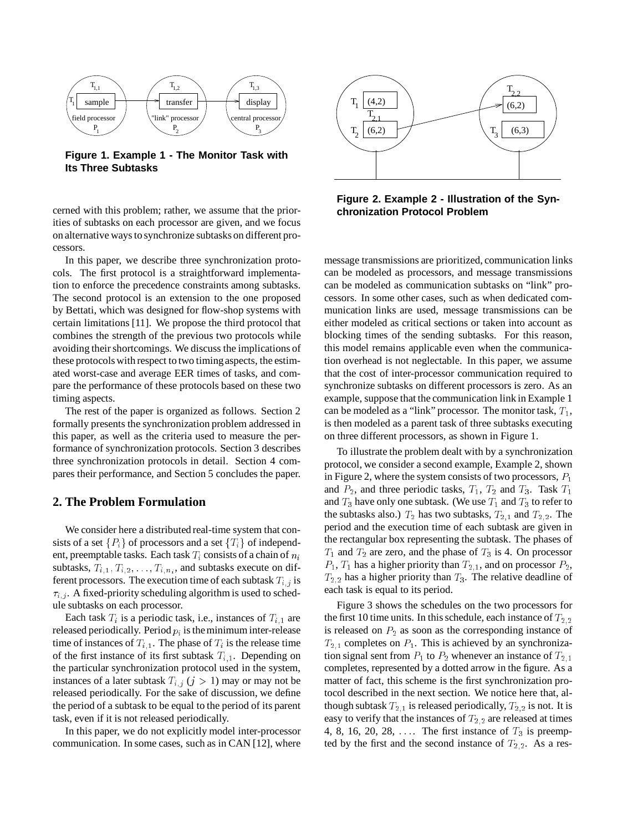

**Figure 1. Example 1 - The Monitor Task with Its Three Subtasks**

cerned with this problem; rather, we assume that the priorities of subtasks on each processor are given, and we focus on alternative ways to synchronize subtasks on different processors.

In this paper, we describe three synchronization protocols. The first protocol is a straightforward implementation to enforce the precedence constraints among subtasks. The second protocol is an extension to the one proposed by Bettati, which was designed for flow-shop systems with certain limitations [11]. We propose the third protocol that combines the strength of the previous two protocols while avoiding their shortcomings. We discuss the implications of these protocols with respect to two timingaspects, the estimated worst-case and average EER times of tasks, and compare the performance of these protocols based on these two timing aspects.

The rest of the paper is organized as follows. Section 2 formally presents the synchronization problem addressed in this paper, as well as the criteria used to measure the performance of synchronization protocols. Section 3 describes three synchronization protocols in detail. Section 4 compares their performance, and Section 5 concludes the paper.

## **2. The Problem Formulation**

We consider here a distributed real-time system that consists of a set  $\{P_i\}$  of processors and a set  $\{T_i\}$  of independent, preemptable tasks. Each task  $T_i$  consists of a chain of  $n_i$ subtasks,  $T_{i,1}, T_{i,2}, \ldots, T_{i,n}$ , and subtasks execute on different processors. The execution time of each subtask  $T_{i,j}$  is  $\tau_{i,j}$ . A fixed-priority scheduling algorithm is used to schedule subtasks on each processor.

Each task  $T_i$  is a periodic task, i.e., instances of  $T_{i,1}$  are released periodically. Period  $p_i$  is the minimum inter-release time of instances of  $T_{i,1}$ . The phase of  $T_i$  is the release time of the first instance of its first subtask  $T_{i,1}$ . Depending on the particular synchronization protocol used in the system, instances of a later subtask  $T_{i,j}$  ( $j > 1$ ) may or may not be released periodically. For the sake of discussion, we define the period of a subtask to be equal to the period of its parent task, even if it is not released periodically.

In this paper, we do not explicitly model inter-processor communication. In some cases, such as in CAN [12], where



**Figure 2. Example 2 - Illustration of the Synchronization Protocol Problem**

message transmissions are prioritized, communication links can be modeled as processors, and message transmissions can be modeled as communication subtasks on "link" processors. In some other cases, such as when dedicated communication links are used, message transmissions can be either modeled as critical sections or taken into account as blocking times of the sending subtasks. For this reason, this model remains applicable even when the communication overhead is not neglectable. In this paper, we assume that the cost of inter-processor communication required to synchronize subtasks on different processors is zero. As an example, suppose that the communication link in Example 1 can be modeled as a "link" processor. The monitor task,  $T_1$ , is then modeled as a parent task of three subtasks executing on three different processors, as shown in Figure 1.

To illustrate the problem dealt with by a synchronization protocol, we consider a second example, Example 2, shown in Figure 2, where the system consists of two processors,  $P_1$ and  $P_2$ , and three periodic tasks,  $T_1$ ,  $T_2$  and  $T_3$ . Task  $T_1$ and  $T_3$  have only one subtask. (We use  $T_1$  and  $T_3$  to refer to the subtasks also.)  $T_2$  has two subtasks,  $T_{2,1}$  and  $T_{2,2}$ . The period and the execution time of each subtask are given in the rectangular box representing the subtask. The phases of  $T_1$  and  $T_2$  are zero, and the phase of  $T_3$  is 4. On processor  $P_1$ ,  $T_1$  has a higher priority than  $T_{2,1}$ , and on processor  $P_2$ ,  $T_{2,2}$  has a higher priority than  $T_3$ . The relative deadline of each task is equal to its period.

Figure 3 shows the schedules on the two processors for the first 10 time units. In this schedule, each instance of  $T_{2,2}$ is released on  $P_2$  as soon as the corresponding instance of  $T_{2,1}$  completes on  $P_1$ . This is achieved by an synchronization signal sent from  $P_1$  to  $P_2$  whenever an instance of  $T_{2,1}$ completes, represented by a dotted arrow in the figure. As a matter of fact, this scheme is the first synchronization protocol described in the next section. We notice here that, although subtask  $T_{2,1}$  is released periodically,  $T_{2,2}$  is not. It is easy to verify that the instances of  $T_{2,2}$  are released at times 4, 8, 16, 20, 28,  $\ldots$  The first instance of  $T_3$  is preempted by the first and the second instance of  $T_{2,2}$ . As a res-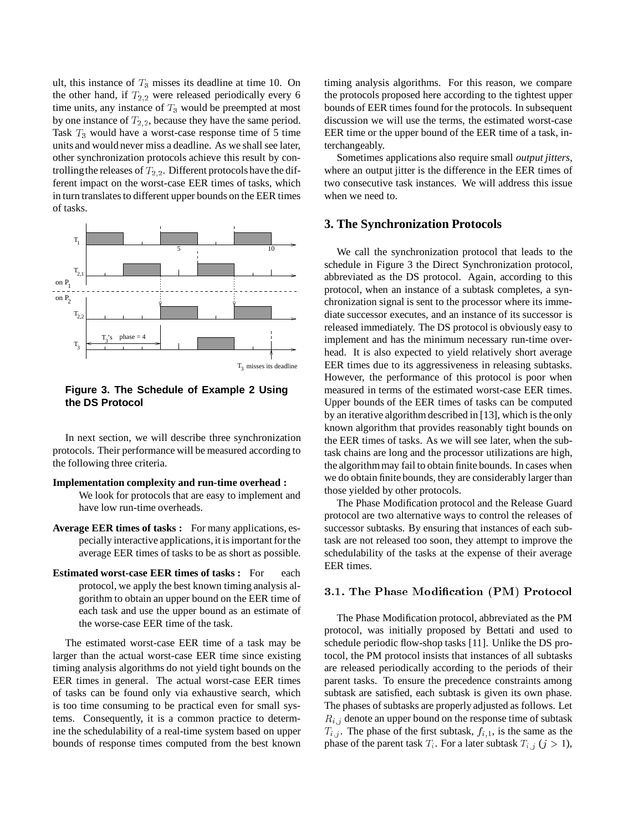ult, this instance of  $T_3$  misses its deadline at time 10. On the other hand, if  $T_{2,2}$  were released periodically every 6 time units, any instance of  $T_3$  would be preempted at most by one instance of  $T_{2,2}$ , because they have the same period. Task  $T_3$  would have a worst-case response time of 5 time units and would never miss a deadline. As we shall see later, other synchronization protocols achieve this result by controlling the releases of  $T_{2,2}$ . Different protocols have the different impact on the worst-case EER times of tasks, which in turn translates to different upper bounds on the EER times of tasks.



#### **Figure 3. The Schedule of Example 2 Using the DS Protocol**

In next section, we will describe three synchronization protocols. Their performance will be measured according to the following three criteria.

#### **Implementation complexity and run-time overhead :**

- We look for protocols that are easy to implement and have low run-time overheads.
- **Average EER times of tasks :** For many applications, especially interactive applications, it is important for the average EER times of tasks to be as short as possible.
- **Estimated worst-case EER times of tasks :** For each protocol, we apply the best known timing analysis algorithm to obtain an upper bound on the EER time of each task and use the upper bound as an estimate of the worse-case EER time of the task.

The estimated worst-case EER time of a task may be larger than the actual worst-case EER time since existing timing analysis algorithms do not yield tight bounds on the EER times in general. The actual worst-case EER times of tasks can be found only via exhaustive search, which is too time consuming to be practical even for small systems. Consequently, it is a common practice to determine the schedulability of a real-time system based on upper bounds of response times computed from the best known timing analysis algorithms. For this reason, we compare the protocols proposed here according to the tightest upper bounds of EER times found for the protocols. In subsequent discussion we will use the terms, the estimated worst-case EER time or the upper bound of the EER time of a task, interchangeably.

Sometimes applications also require small *output jitters*, where an output jitter is the difference in the EER times of two consecutive task instances. We will address this issue when we need to.

#### **3. The Synchronization Protocols**

We call the synchronization protocol that leads to the schedule in Figure 3 the Direct Synchronization protocol, abbreviated as the DS protocol. Again, according to this protocol, when an instance of a subtask completes, a synchronization signal is sent to the processor where its immediate successor executes, and an instance of its successor is released immediately. The DS protocol is obviously easy to implement and has the minimum necessary run-time overhead. It is also expected to yield relatively short average EER times due to its aggressiveness in releasing subtasks. However, the performance of this protocol is poor when measured in terms of the estimated worst-case EER times. Upper bounds of the EER times of tasks can be computed by an iterative algorithm described in [13], which is the only known algorithm that provides reasonably tight bounds on the EER times of tasks. As we will see later, when the subtask chains are long and the processor utilizations are high, the algorithm may fail to obtain finite bounds. In cases when we do obtain finite bounds, they are considerably larger than those yielded by other protocols.

The Phase Modification protocol and the Release Guard protocol are two alternative ways to control the releases of successor subtasks. By ensuring that instances of each subtask are not released too soon, they attempt to improve the schedulability of the tasks at the expense of their average EER times.

#### 3.1. The Phase Modication (PM) Protocol

The Phase Modification protocol, abbreviated as the PM protocol, was initially proposed by Bettati and used to schedule periodic flow-shop tasks [11]. Unlike the DS protocol, the PM protocol insists that instances of all subtasks are released periodically according to the periods of their parent tasks. To ensure the precedence constraints among subtask are satisfied, each subtask is given its own phase. The phases of subtasks are properly adjusted as follows. Let  $R_{i,j}$  denote an upper bound on the response time of subtask  $T_{i,j}$ . The phase of the first subtask,  $f_{i,1}$ , is the same as the phase of the parent task  $T_i$ . For a later subtask  $T_{i,j}$   $(j > 1)$ ,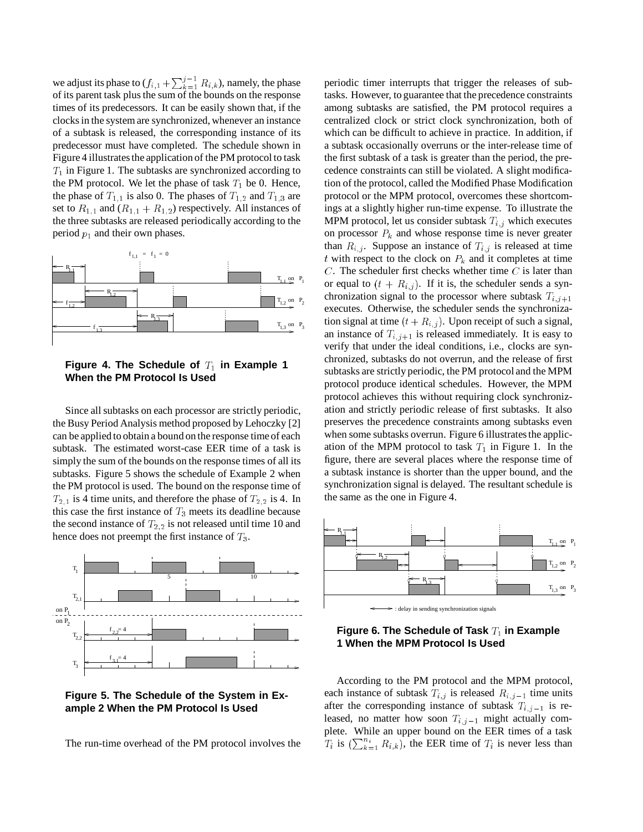we adjust its phase to  $(f_{i,1} + \sum_{k=1}^{j-1} R_{i,k})$ , namely, the phase of its parent task plus the sum of the bounds on the response times of its predecessors. It can be easily shown that, if the clocks in the system are synchronized, whenever an instance of a subtask is released, the corresponding instance of its predecessor must have completed. The schedule shown in Figure 4 illustrates the application of the PM protocol to task  $T_1$  in Figure 1. The subtasks are synchronized according to the PM protocol. We let the phase of task  $T_1$  be 0. Hence, the phase of  $T_{1,1}$  is also 0. The phases of  $T_{1,2}$  and  $T_{1,3}$  are set to  $R_{1,1}$  and  $(R_{1,1} + R_{1,2})$  respectively. All instances of the three subtasks are released periodically according to the period  $p_1$  and their own phases.





Since all subtasks on each processor are strictly periodic, the Busy Period Analysis method proposed by Lehoczky [2] can be applied to obtain a bound on the response time of each subtask. The estimated worst-case EER time of a task is simply the sum of the bounds on the response times of all its subtasks. Figure 5 shows the schedule of Example 2 when the PM protocol is used. The bound on the response time of  $T_{2,1}$  is 4 time units, and therefore the phase of  $T_{2,2}$  is 4. In this case the first instance of  $T_3$  meets its deadline because the second instance of  $T_{2,2}$  is not released until time 10 and hence does not preempt the first instance of  $T_3$ .



**Figure 5. The Schedule of the System in Example 2 When the PM Protocol Is Used**

The run-time overhead of the PM protocol involves the

periodic timer interrupts that trigger the releases of subtasks. However, to guarantee that the precedence constraints among subtasks are satisfied, the PM protocol requires a centralized clock or strict clock synchronization, both of which can be difficult to achieve in practice. In addition, if a subtask occasionally overruns or the inter-release time of the first subtask of a task is greater than the period, the precedence constraints can still be violated. A slight modification of the protocol, called the Modified Phase Modification protocol or the MPM protocol, overcomes these shortcomings at a slightly higher run-time expense. To illustrate the MPM protocol, let us consider subtask  $T_{i,j}$  which executes on processor  $P_k$  and whose response time is never greater than  $R_{i,j}$ . Suppose an instance of  $T_{i,j}$  is released at time t with respect to the clock on  $P_k$  and it completes at time  $C$ . The scheduler first checks whether time  $C$  is later than or equal to  $(t + R_{i,j})$ . If it is, the scheduler sends a synchronization signal to the processor where subtask  $T_{i,j+1}$ executes. Otherwise, the scheduler sends the synchronization signal at time  $(t + R_{i,j})$ . Upon receipt of such a signal, an instance of  $T_{i,j+1}$  is released immediately. It is easy to verify that under the ideal conditions, i.e., clocks are synchronized, subtasks do not overrun, and the release of first subtasks are strictly periodic, the PM protocol and the MPM protocol produce identical schedules. However, the MPM protocol achieves this without requiring clock synchronization and strictly periodic release of first subtasks. It also preserves the precedence constraints among subtasks even when some subtasks overrun. Figure 6 illustrates the application of the MPM protocol to task  $T_1$  in Figure 1. In the figure, there are several places where the response time of a subtask instance is shorter than the upper bound, and the synchronization signal is delayed. The resultant schedule is the same as the one in Figure 4.





According to the PM protocol and the MPM protocol, each instance of subtask  $T_{i,j}$  is released  $R_{i,j-1}$  time units after the corresponding instance of subtask  $T_{i,j-1}$  is released, no matter how soon  $T_{i,j-1}$  might actually complete. While an upper bound on the EER times of a task  $T_i$  is  $(\sum_{k=1}^{n_i} R_{i,k})$ , the EER time of  $T_i$  is never less than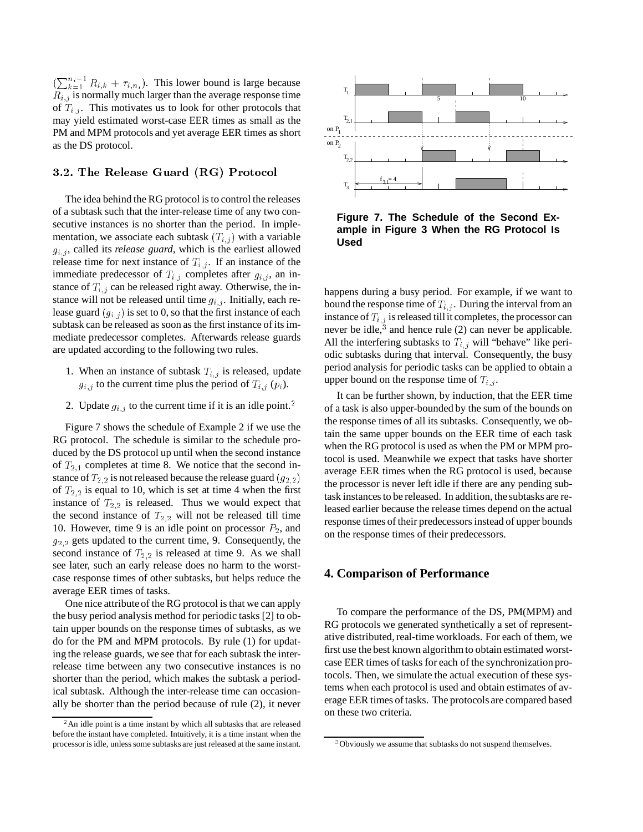$(\sum_{k=1}^{n_i-1} R_{i,k} + \tau_{i,n_i})$ . This lower bound is large because  $R_{i,j}$  is normally much larger than the average response time of  $T_{i,j}$ . This motivates us to look for other protocols that may yield estimated worst-case EER times as small as the PM and MPM protocols and yet average EER times as short as the DS protocol.

#### 3.2. The Release Guard (RG) Protocol

The idea behind the RG protocol is to control the releases of a subtask such that the inter-release time of any two consecutive instances is no shorter than the period. In implementation, we associate each subtask  $(T_{i,j})$  with a variable  $g_{i,j}$ , called its *release guard*, which is the earliest allowed release time for next instance of  $T_{i,j}$ . If an instance of the immediate predecessor of  $T_{i,j}$  completes after  $g_{i,j}$ , an instance of  $T_{i,j}$  can be released right away. Otherwise, the instance will not be released until time  $g_{i,j}$ . Initially, each release guard  $(g_{i,j})$  is set to 0, so that the first instance of each subtask can be released as soon as the first instance of its immediate predecessor completes. Afterwards release guards are updated according to the following two rules.

- 1. When an instance of subtask  $T_{i,j}$  is released, update  $g_{i,j}$  to the current time plus the period of  $T_{i,j}$  ( $p_i$ ).
- 2. Update  $g_{i,j}$  to the current time if it is an idle point.<sup>2</sup>

Figure 7 shows the schedule of Example 2 if we use the RG protocol. The schedule is similar to the schedule produced by the DS protocol up until when the second instance of  $T_{2,1}$  completes at time 8. We notice that the second instance of  $T_{2,2}$  is not released because the release guard  $(g_{2,2})$ of  $T_{2,2}$  is equal to 10, which is set at time 4 when the first instance of  $T_{2,2}$  is released. Thus we would expect that the second instance of  $T_{2,2}$  will not be released till time 10. However, time 9 is an idle point on processor  $P_2$ , and  $g_{2,2}$  gets updated to the current time, 9. Consequently, the second instance of  $T_{2,2}$  is released at time 9. As we shall see later, such an early release does no harm to the worstcase response times of other subtasks, but helps reduce the average EER times of tasks.

One nice attribute of the RG protocol is that we can apply the busy period analysis method for periodic tasks [2] to obtain upper bounds on the response times of subtasks, as we do for the PM and MPM protocols. By rule (1) for updating the release guards, we see that for each subtask the interrelease time between any two consecutive instances is no shorter than the period, which makes the subtask a periodical subtask. Although the inter-release time can occasionally be shorter than the period because of rule (2), it never



**Figure 7. The Schedule of the Second Example in Figure 3 When the RG Protocol Is Used**

happens during a busy period. For example, if we want to bound the response time of  $T_{i,j}$ . During the interval from an instance of  $T_{i,j}$  is released till it completes, the processor can never be idle, $3$  and hence rule (2) can never be applicable. All the interfering subtasks to  $T_{i,j}$  will "behave" like periodic subtasks during that interval. Consequently, the busy period analysis for periodic tasks can be applied to obtain a upper bound on the response time of  $T_{i,j}$ .

It can be further shown, by induction, that the EER time of a task is also upper-bounded by the sum of the bounds on the response times of all its subtasks. Consequently, we obtain the same upper bounds on the EER time of each task when the RG protocol is used as when the PM or MPM protocol is used. Meanwhile we expect that tasks have shorter average EER times when the RG protocol is used, because the processor is never left idle if there are any pending subtask instances to be released. In addition, the subtasks are released earlier because the release times depend on the actual response times of their predecessors instead of upper bounds on the response times of their predecessors.

#### **4. Comparison of Performance**

To compare the performance of the DS, PM(MPM) and RG protocols we generated synthetically a set of representative distributed, real-time workloads. For each of them, we first use the best known algorithm to obtain estimated worstcase EER times of tasks for each of the synchronization protocols. Then, we simulate the actual execution of these systems when each protocol is used and obtain estimates of average EER times of tasks. The protocols are compared based on these two criteria.

<sup>&</sup>lt;sup>2</sup>An idle point is a time instant by which all subtasks that are released before the instant have completed. Intuitively, it is a time instant when the processor is idle, unless some subtasks are just released at the same instant.

<sup>&</sup>lt;sup>3</sup> Obviously we assume that subtasks do not suspend themselves.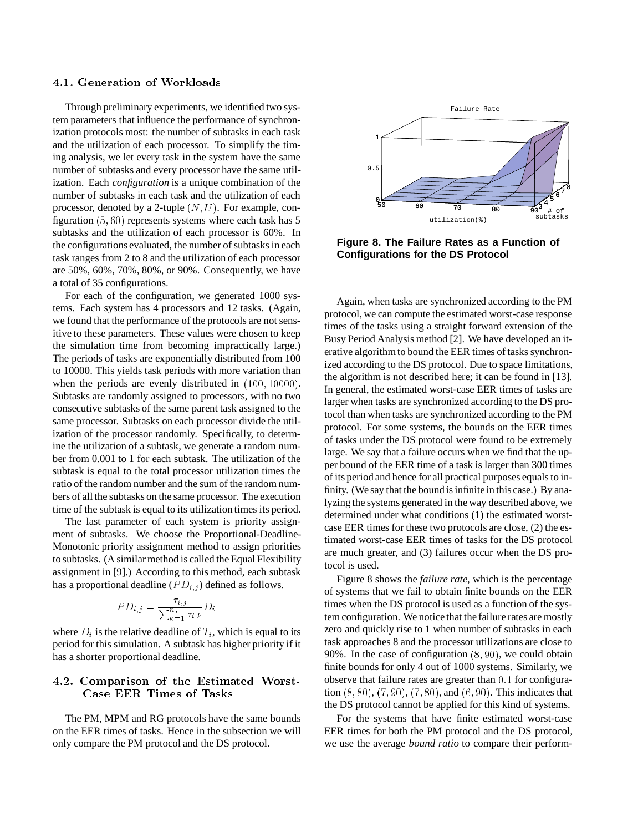#### 4.1. Generation of Workloads

Through preliminary experiments, we identified two system parameters that influence the performance of synchronization protocols most: the number of subtasks in each task and the utilization of each processor. To simplify the timing analysis, we let every task in the system have the same number of subtasks and every processor have the same utilization. Each *configuration* is a unique combination of the number of subtasks in each task and the utilization of each processor, denoted by a 2-tuple  $(N, U)$ . For example, configuration  $(5, 60)$  represents systems where each task has 5 subtasks and the utilization of each processor is 60%. In the configurations evaluated, the number of subtasks in each task ranges from 2 to 8 and the utilization of each processor are 50%, 60%, 70%, 80%, or 90%. Consequently, we have a total of 35 configurations.

For each of the configuration, we generated 1000 systems. Each system has 4 processors and 12 tasks. (Again, we found that the performance of the protocols are not sensitive to these parameters. These values were chosen to keep the simulation time from becoming impractically large.) The periods of tasks are exponentially distributed from 100 to 10000. This yields task periods with more variation than when the periods are evenly distributed in  $(100, 10000)$ . Subtasks are randomly assigned to processors, with no two consecutive subtasks of the same parent task assigned to the same processor. Subtasks on each processor divide the utilization of the processor randomly. Specifically, to determine the utilization of a subtask, we generate a random number from 0.001 to 1 for each subtask. The utilization of the subtask is equal to the total processor utilization times the ratio of the random number and the sum of the random numbers of all the subtasks on the same processor. The execution time of the subtask is equal to its utilization times its period.

The last parameter of each system is priority assignment of subtasks. We choose the Proportional-Deadline-Monotonic priority assignment method to assign priorities to subtasks. (A similar method is called the Equal Flexibility assignment in [9].) According to this method, each subtask has a proportional deadline  $(PD_{i,j})$  defined as follows.

$$
PD_{i,j} = \frac{\tau_{i,j}}{\sum_{k=1}^{n_i} \tau_{i,k}} D_i
$$

where  $D_i$  is the relative deadline of  $T_i$ , which is equal to its period for this simulation. A subtask has higher priority if it has a shorter proportional deadline.

### 4.2. Comparison of the Estimated Worst-Case EER Times of Tasks

The PM, MPM and RG protocols have the same bounds on the EER times of tasks. Hence in the subsection we will only compare the PM protocol and the DS protocol.



**Figure 8. The Failure Rates as a Function of Configurations for the DS Protocol**

Again, when tasks are synchronized according to the PM protocol, we can compute the estimated worst-case response times of the tasks using a straight forward extension of the Busy Period Analysis method [2]. We have developed an iterative algorithm to bound the EER times of tasks synchronized according to the DS protocol. Due to space limitations, the algorithm is not described here; it can be found in [13]. In general, the estimated worst-case EER times of tasks are larger when tasks are synchronized according to the DS protocol than when tasks are synchronized according to the PM protocol. For some systems, the bounds on the EER times of tasks under the DS protocol were found to be extremely large. We say that a failure occurs when we find that the upper bound of the EER time of a task is larger than 300 times of its period and hence for all practical purposes equals to infinity. (We say that the bound is infinite in this case.) By analyzing the systems generated in the way described above, we determined under what conditions (1) the estimated worstcase EER times for these two protocols are close, (2) the estimated worst-case EER times of tasks for the DS protocol are much greater, and (3) failures occur when the DS protocol is used.

Figure 8 shows the *failure rate*, which is the percentage of systems that we fail to obtain finite bounds on the EER times when the DS protocol is used as a function of the system configuration. We notice that the failure rates are mostly zero and quickly rise to 1 when number of subtasks in each task approaches 8 and the processor utilizations are close to 90%. In the case of configuration (8; 90), we could obtain finite bounds for only 4 out of 1000 systems. Similarly, we observe that failure rates are greater than 0:1 for configuration  $(8, 80)$ ,  $(7, 90)$ ,  $(7, 80)$ , and  $(6, 90)$ . This indicates that the DS protocol cannot be applied for this kind of systems.

For the systems that have finite estimated worst-case EER times for both the PM protocol and the DS protocol, we use the average *bound ratio* to compare their perform-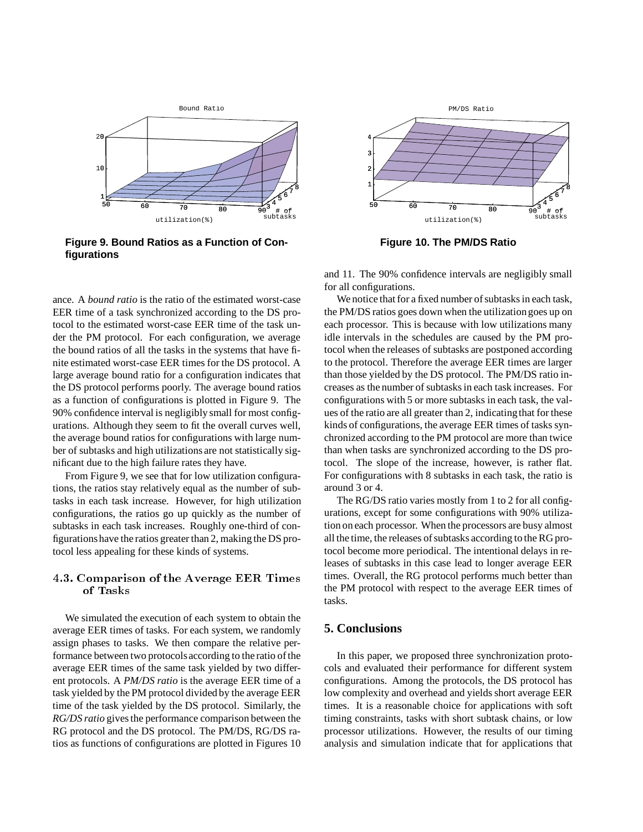

**Figure 9. Bound Ratios as a Function of Configurations**

ance. A *bound ratio* is the ratio of the estimated worst-case EER time of a task synchronized according to the DS protocol to the estimated worst-case EER time of the task under the PM protocol. For each configuration, we average the bound ratios of all the tasks in the systems that have finite estimated worst-case EER times for the DS protocol. A large average bound ratio for a configuration indicates that the DS protocol performs poorly. The average bound ratios as a function of configurations is plotted in Figure 9. The 90% confidence interval is negligibly small for most configurations. Although they seem to fit the overall curves well, the average bound ratios for configurations with large number of subtasks and high utilizations are not statistically significant due to the high failure rates they have.

From Figure 9, we see that for low utilization configurations, the ratios stay relatively equal as the number of subtasks in each task increase. However, for high utilization configurations, the ratios go up quickly as the number of subtasks in each task increases. Roughly one-third of configurationshave the ratios greater than 2, making the DS protocol less appealing for these kinds of systems.

### 4.3. Comparison of the Average EER Times of Tasks

We simulated the execution of each system to obtain the average EER times of tasks. For each system, we randomly assign phases to tasks. We then compare the relative performance between two protocolsaccording to the ratio of the average EER times of the same task yielded by two different protocols. A *PM/DS ratio* is the average EER time of a task yielded by the PM protocol divided by the average EER time of the task yielded by the DS protocol. Similarly, the *RG/DS ratio* gives the performance comparison between the RG protocol and the DS protocol. The PM/DS, RG/DS ratios as functions of configurations are plotted in Figures 10



**Figure 10. The PM/DS Ratio**

and 11. The 90% confidence intervals are negligibly small for all configurations.

We notice that for a fixed number of subtasks in each task, the PM/DS ratios goes down when the utilizationgoes up on each processor. This is because with low utilizations many idle intervals in the schedules are caused by the PM protocol when the releases of subtasks are postponed according to the protocol. Therefore the average EER times are larger than those yielded by the DS protocol. The PM/DS ratio increases as the number of subtasks in each task increases. For configurations with 5 or more subtasks in each task, the values of the ratio are all greater than 2, indicating that for these kinds of configurations, the average EER times of tasks synchronized according to the PM protocol are more than twice than when tasks are synchronized according to the DS protocol. The slope of the increase, however, is rather flat. For configurations with 8 subtasks in each task, the ratio is around 3 or 4.

The RG/DS ratio varies mostly from 1 to 2 for all configurations, except for some configurations with 90% utilization on each processor. When the processors are busy almost all the time, the releases of subtasks according to the RG protocol become more periodical. The intentional delays in releases of subtasks in this case lead to longer average EER times. Overall, the RG protocol performs much better than the PM protocol with respect to the average EER times of tasks.

#### **5. Conclusions**

In this paper, we proposed three synchronization protocols and evaluated their performance for different system configurations. Among the protocols, the DS protocol has low complexity and overhead and yields short average EER times. It is a reasonable choice for applications with soft timing constraints, tasks with short subtask chains, or low processor utilizations. However, the results of our timing analysis and simulation indicate that for applications that